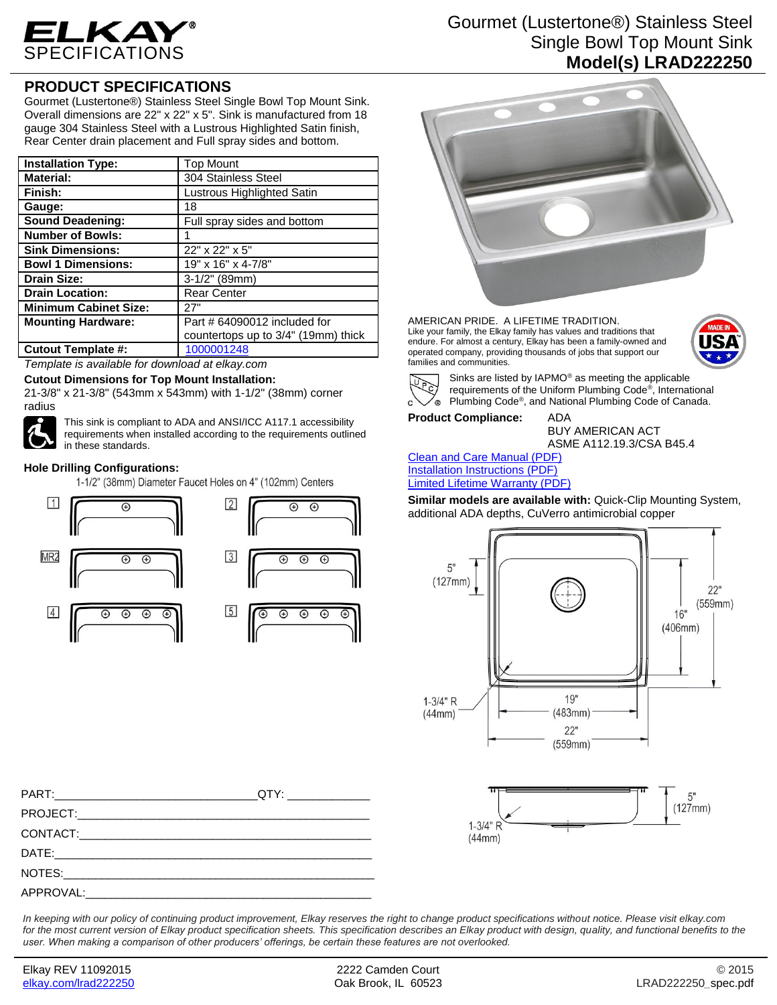

## **PRODUCT SPECIFICATIONS**

Gourmet (Lustertone®) Stainless Steel Single Bowl Top Mount Sink. Overall dimensions are 22" x 22" x 5". Sink is manufactured from 18 gauge 304 Stainless Steel with a Lustrous Highlighted Satin finish, Rear Center drain placement and Full spray sides and bottom.

| <b>Installation Type:</b>    | <b>Top Mount</b>                    |
|------------------------------|-------------------------------------|
| <b>Material:</b>             | 304 Stainless Steel                 |
| Finish:                      | Lustrous Highlighted Satin          |
| Gauge:                       | 18                                  |
| <b>Sound Deadening:</b>      | Full spray sides and bottom         |
| <b>Number of Bowls:</b>      |                                     |
| <b>Sink Dimensions:</b>      | 22" x 22" x 5"                      |
| <b>Bowl 1 Dimensions:</b>    | 19" x 16" x 4-7/8"                  |
| <b>Drain Size:</b>           | $3-1/2"$ (89mm)                     |
| <b>Drain Location:</b>       | <b>Rear Center</b>                  |
| <b>Minimum Cabinet Size:</b> | 27"                                 |
| <b>Mounting Hardware:</b>    | Part # 64090012 included for        |
|                              | countertops up to 3/4" (19mm) thick |
| <b>Cutout Template #:</b>    | 1000001248                          |

*Template is available for download at elkay.com*

#### **Cutout Dimensions for Top Mount Installation:**

21-3/8" x 21-3/8" (543mm x 543mm) with 1-1/2" (38mm) corner radius



This sink is compliant to ADA and ANSI/ICC A117.1 accessibility requirements when installed according to the requirements outlined in these standards.

#### **Hole Drilling Configurations:**

1-1/2" (38mm) Diameter Faucet Holes on 4" (102mm) Centers



# Gourmet (Lustertone®) Stainless Steel Single Bowl Top Mount Sink **Model(s) LRAD222250**



AMERICAN PRIDE. A LIFETIME TRADITION. Like your family, the Elkay family has values and traditions that endure. For almost a century, Elkay has been a family-owned and operated company, providing thousands of jobs that support our families and communities.





Sinks are listed by IAPMO® as meeting the applicable requirements of the Uniform Plumbing Code® , International Plumbing Code® , and National Plumbing Code of Canada.

**Product Compliance:** ADA

BUY AMERICAN ACT ASME A112.19.3/CSA B45.4

| <b>Clean and Care Manual (PDF)</b>     |
|----------------------------------------|
| Installation Instructions (PDF)        |
| <b>Limited Lifetime Warranty (PDF)</b> |

**Similar models are available with:** Quick-Clip Mounting System, additional ADA depths, CuVerro antimicrobial copper





PART:\_\_\_\_\_\_\_\_\_\_\_\_\_\_\_\_\_\_\_\_\_\_\_\_\_\_\_\_\_\_\_\_QTY: \_\_\_\_\_\_\_\_\_\_\_\_\_ PROJECT:\_\_\_\_\_\_\_\_\_\_\_\_\_\_\_\_\_\_\_\_\_\_\_\_\_\_\_\_\_\_\_\_\_\_\_\_\_\_\_\_\_\_\_\_\_\_ CONTACT:\_\_\_\_\_\_\_\_\_\_\_\_\_\_\_\_\_\_\_\_\_\_\_\_\_\_\_\_\_\_\_\_\_\_\_\_\_\_\_\_\_\_\_\_\_\_ DATE:\_\_\_\_\_\_\_\_\_\_\_\_\_\_\_\_\_\_\_\_\_\_\_\_\_\_\_\_\_\_\_\_\_\_\_\_\_\_\_\_\_\_\_\_\_\_\_\_\_\_ NOTES:\_\_\_\_\_\_\_\_\_\_\_\_\_\_\_\_\_\_\_\_\_\_\_\_\_\_\_\_\_\_\_\_\_\_\_\_\_\_\_\_\_\_\_\_\_\_\_\_\_ APPROVAL:

*In keeping with our policy of continuing product improvement, Elkay reserves the right to change product specifications without notice. Please visit elkay.com for the most current version of Elkay product specification sheets. This specification describes an Elkay product with design, quality, and functional benefits to the user. When making a comparison of other producers' offerings, be certain these features are not overlooked.*